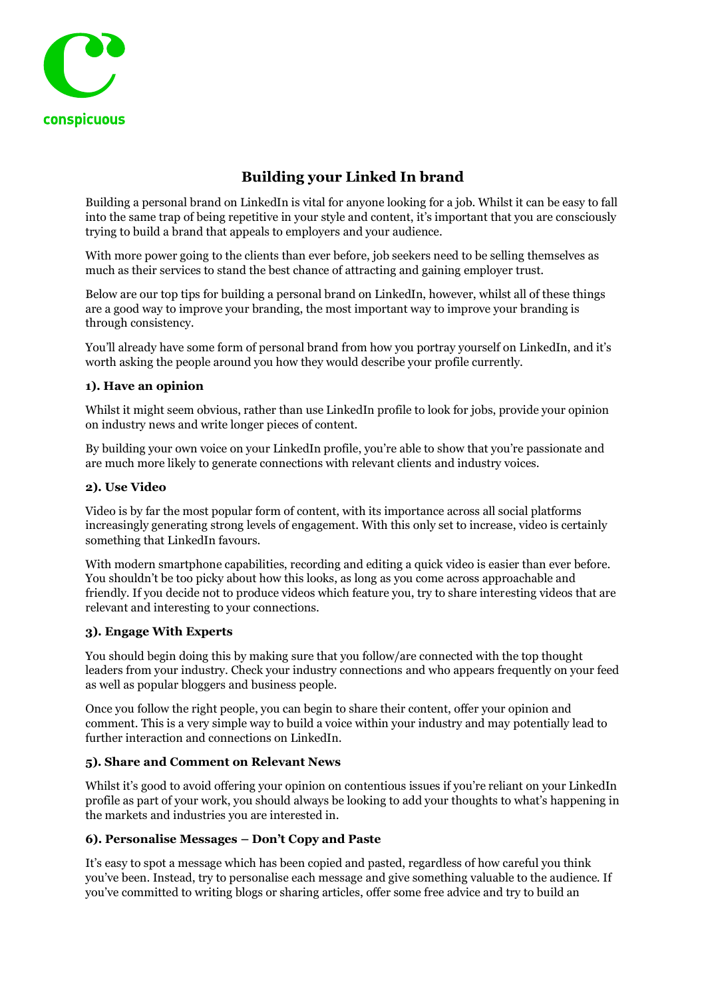

# **Building your Linked In brand**

Building a personal brand on LinkedIn is vital for anyone looking for a job. Whilst it can be easy to fall into the same trap of being repetitive in your style and content, it's important that you are consciously trying to build a brand that appeals to employers and your audience.

With more power going to the clients than ever before, job seekers need to be selling themselves as much as their services to stand the best chance of attracting and gaining employer trust.

Below are our top tips for building a personal brand on LinkedIn, however, whilst all of these things are a good way to improve your branding, the most important way to improve your branding is through consistency.

You'll already have some form of personal brand from how you portray yourself on LinkedIn, and it's worth asking the people around you how they would describe your profile currently.

#### **1). Have an opinion**

Whilst it might seem obvious, rather than use LinkedIn profile to look for jobs, provide your opinion on industry news and write longer pieces of content.

By building your own voice on your LinkedIn profile, you're able to show that you're passionate and are much more likely to generate connections with relevant clients and industry voices.

#### **2). Use Video**

Video is by far the most popular form of content, with its importance across all social platforms increasingly generating strong levels of engagement. With this only set to increase, video is certainly something that LinkedIn favours.

With modern smartphone capabilities, recording and editing a quick video is easier than ever before. You shouldn't be too picky about how this looks, as long as you come across approachable and friendly. If you decide not to produce videos which feature you, try to share interesting videos that are relevant and interesting to your connections.

#### **3). Engage With Experts**

You should begin doing this by making sure that you follow/are connected with the top thought leaders from your industry. Check your industry connections and who appears frequently on your feed as well as popular bloggers and business people.

Once you follow the right people, you can begin to share their content, offer your opinion and comment. This is a very simple way to build a voice within your industry and may potentially lead to further interaction and connections on LinkedIn.

# **5). Share and Comment on Relevant News**

Whilst it's good to avoid offering your opinion on contentious issues if you're reliant on your LinkedIn profile as part of your work, you should always be looking to add your thoughts to what's happening in the markets and industries you are interested in.

# **6). Personalise Messages – Don't Copy and Paste**

It's easy to spot a message which has been copied and pasted, regardless of how careful you think you've been. Instead, try to personalise each message and give something valuable to the audience. If you've committed to writing blogs or sharing articles, offer some free advice and try to build an